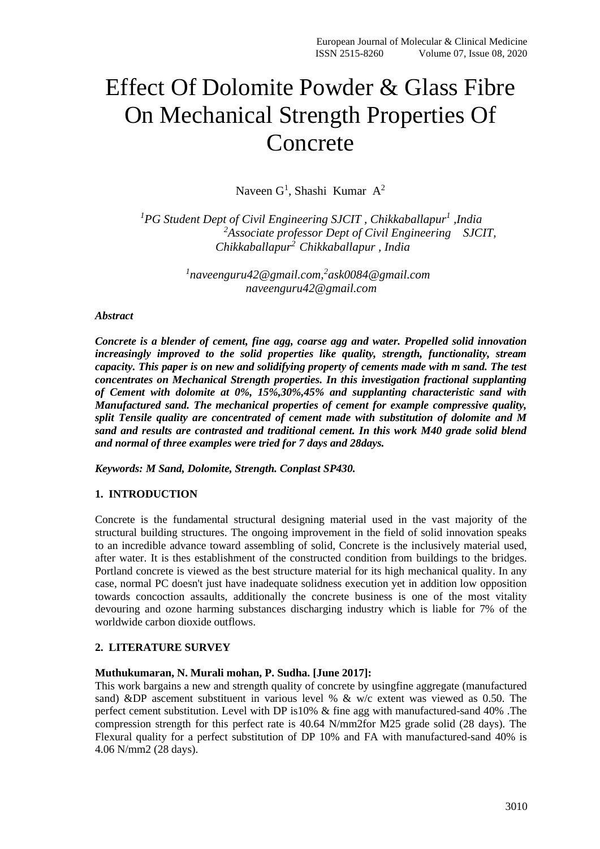# Effect Of Dolomite Powder & Glass Fibre On Mechanical Strength Properties Of Concrete

Naveen  $G^1$ , Shashi Kumar A<sup>2</sup>

*<sup>1</sup>PG Student Dept of Civil Engineering SJCIT , Chikkaballapur<sup>1</sup> ,India <sup>2</sup>Associate professor Dept of Civil Engineering SJCIT, Chikkaballapur<sup>2</sup>Chikkaballapur , India*

> *1 naveenguru42@gmail.com,<sup>2</sup> ask0084@gmail.com naveenguru42@gmail.com*

#### *Abstract*

*Concrete is a blender of cement, fine agg, coarse agg and water. Propelled solid innovation increasingly improved to the solid properties like quality, strength, functionality, stream capacity. This paper is on new and solidifying property of cements made with m sand. The test concentrates on Mechanical Strength properties. In this investigation fractional supplanting of Cement with dolomite at 0%, 15%,30%,45% and supplanting characteristic sand with Manufactured sand. The mechanical properties of cement for example compressive quality, split Tensile quality are concentrated of cement made with substitution of dolomite and M sand and results are contrasted and traditional cement. In this work M40 grade solid blend and normal of three examples were tried for 7 days and 28days.*

*Keywords: M Sand, Dolomite, Strength. Conplast SP430.*

# **1. INTRODUCTION**

Concrete is the fundamental structural designing material used in the vast majority of the structural building structures. The ongoing improvement in the field of solid innovation speaks to an incredible advance toward assembling of solid, Concrete is the inclusively material used, after water. It is thes establishment of the constructed condition from buildings to the bridges. Portland concrete is viewed as the best structure material for its high mechanical quality. In any case, normal PC doesn't just have inadequate solidness execution yet in addition low opposition towards concoction assaults, additionally the concrete business is one of the most vitality devouring and ozone harming substances discharging industry which is liable for 7% of the worldwide carbon dioxide outflows.

#### **2. LITERATURE SURVEY**

#### **Muthukumaran, N. Murali mohan, P. Sudha. [June 2017]:**

This work bargains a new and strength quality of concrete by usingfine aggregate (manufactured sand) &DP ascement substituent in various level % & w/c extent was viewed as 0.50. The perfect cement substitution. Level with DP is10% & fine agg with manufactured-sand 40% .The compression strength for this perfect rate is 40.64 N/mm2for M25 grade solid (28 days). The Flexural quality for a perfect substitution of DP 10% and FA with manufactured-sand 40% is 4.06 N/mm2 (28 days).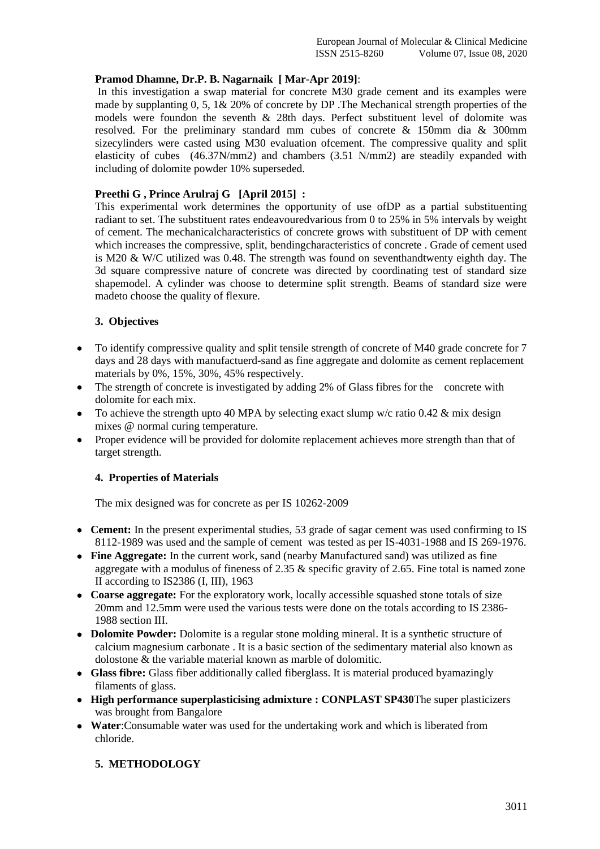#### **Pramod Dhamne, Dr.P. B. Nagarnaik [ Mar-Apr 2019]**:

In this investigation a swap material for concrete M30 grade cement and its examples were made by supplanting 0, 5, 1& 20% of concrete by DP .The Mechanical strength properties of the models were foundon the seventh  $\&$  28th days. Perfect substituent level of dolomite was resolved. For the preliminary standard mm cubes of concrete & 150mm dia & 300mm sizecylinders were casted using M30 evaluation ofcement. The compressive quality and split elasticity of cubes (46.37N/mm2) and chambers (3.51 N/mm2) are steadily expanded with including of dolomite powder 10% superseded.

# **Preethi G , Prince Arulraj G [April 2015] :**

This experimental work determines the opportunity of use ofDP as a partial substituenting radiant to set. The substituent rates endeavouredvarious from 0 to 25% in 5% intervals by weight of cement. The mechanicalcharacteristics of concrete grows with substituent of DP with cement which increases the compressive, split, bendingcharacteristics of concrete . Grade of cement used is M20 & W/C utilized was 0.48. The strength was found on seventhandtwenty eighth day. The 3d square compressive nature of concrete was directed by coordinating test of standard size shapemodel. A cylinder was choose to determine split strength. Beams of standard size were madeto choose the quality of flexure.

## **3. Objectives**

- To identify compressive quality and split tensile strength of concrete of M40 grade concrete for 7 days and 28 days with manufactuerd-sand as fine aggregate and dolomite as cement replacement materials by 0%, 15%, 30%, 45% respectively.
- The strength of concrete is investigated by adding 2% of Glass fibres for the concrete with dolomite for each mix.
- To achieve the strength upto 40 MPA by selecting exact slump w/c ratio  $0.42 \&$  mix design mixes @ normal curing temperature.
- Proper evidence will be provided for dolomite replacement achieves more strength than that of target strength.

#### **4. Properties of Materials**

The mix designed was for concrete as per IS 10262-2009

- **Cement:** In the present experimental studies, 53 grade of sagar cement was used confirming to IS 8112-1989 was used and the sample of cement was tested as per IS-4031-1988 and IS 269-1976.
- **Fine Aggregate:** In the current work, sand (nearby Manufactured sand) was utilized as fine aggregate with a modulus of fineness of 2.35  $\&$  specific gravity of 2.65. Fine total is named zone II according to IS2386 (I, III), 1963
- **Coarse aggregate:** For the exploratory work, locally accessible squashed stone totals of size 20mm and 12.5mm were used the various tests were done on the totals according to IS 2386- 1988 section III.
- **Dolomite Powder:** Dolomite is a regular stone molding mineral. It is a synthetic structure of calcium magnesium carbonate . It is a basic section of the sedimentary material also known as dolostone & the variable material known as marble of dolomitic.
- **Glass fibre:** Glass fiber additionally called fiberglass. It is material produced byamazingly filaments of glass.
- **High performance superplasticising admixture : CONPLAST SP430**The super plasticizers was brought from Bangalore
- **Water**:Consumable water was used for the undertaking work and which is liberated from chloride.

#### **5. METHODOLOGY**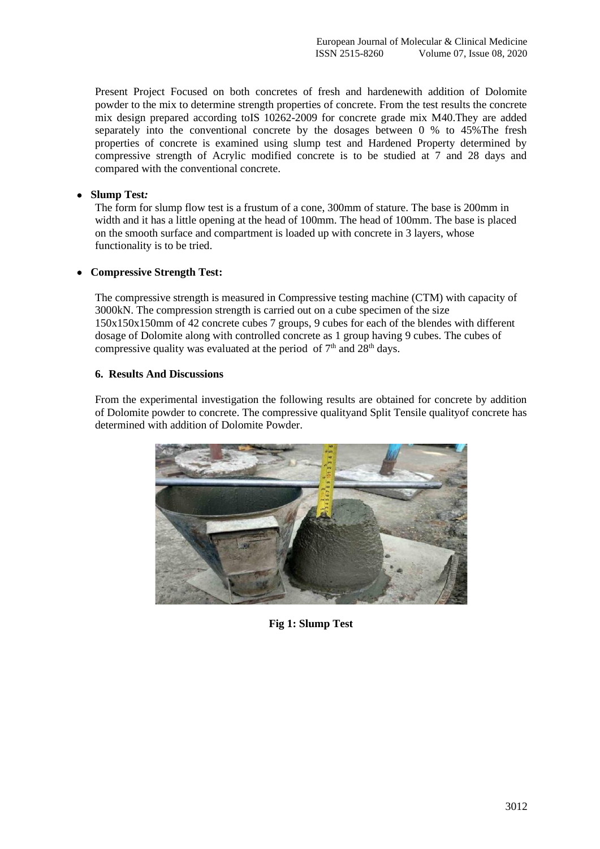Present Project Focused on both concretes of fresh and hardenewith addition of Dolomite powder to the mix to determine strength properties of concrete. From the test results the concrete mix design prepared according toIS 10262-2009 for concrete grade mix M40.They are added separately into the conventional concrete by the dosages between 0 % to 45%The fresh properties of concrete is examined using slump test and Hardened Property determined by compressive strength of Acrylic modified concrete is to be studied at 7 and 28 days and compared with the conventional concrete.

# • **Slump Test***:*

The form for slump flow test is a frustum of a cone, 300mm of stature. The base is 200mm in width and it has a little opening at the head of 100mm. The head of 100mm. The base is placed on the smooth surface and compartment is loaded up with concrete in 3 layers, whose functionality is to be tried.

## • **Compressive Strength Test:**

The compressive strength is measured in Compressive testing machine (CTM) with capacity of 3000kN. The compression strength is carried out on a cube specimen of the size 150x150x150mm of 42 concrete cubes 7 groups, 9 cubes for each of the blendes with different dosage of Dolomite along with controlled concrete as 1 group having 9 cubes. The cubes of compressive quality was evaluated at the period of  $7<sup>th</sup>$  and  $28<sup>th</sup>$  days.

## **6. Results And Discussions**

From the experimental investigation the following results are obtained for concrete by addition of Dolomite powder to concrete. The compressive qualityand Split Tensile qualityof concrete has determined with addition of Dolomite Powder.



**Fig 1: Slump Test**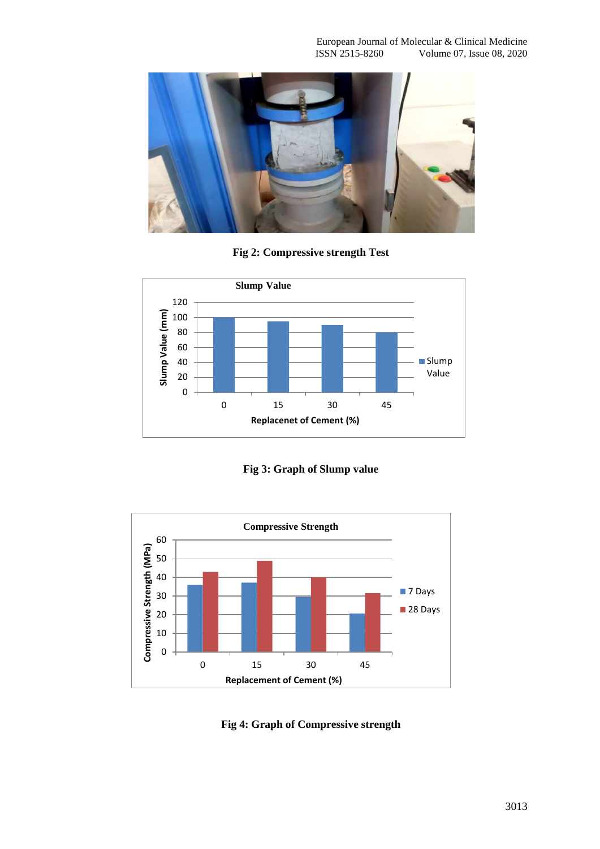

**Fig 2: Compressive strength Test**



**Fig 3: Graph of Slump value**



**Fig 4: Graph of Compressive strength**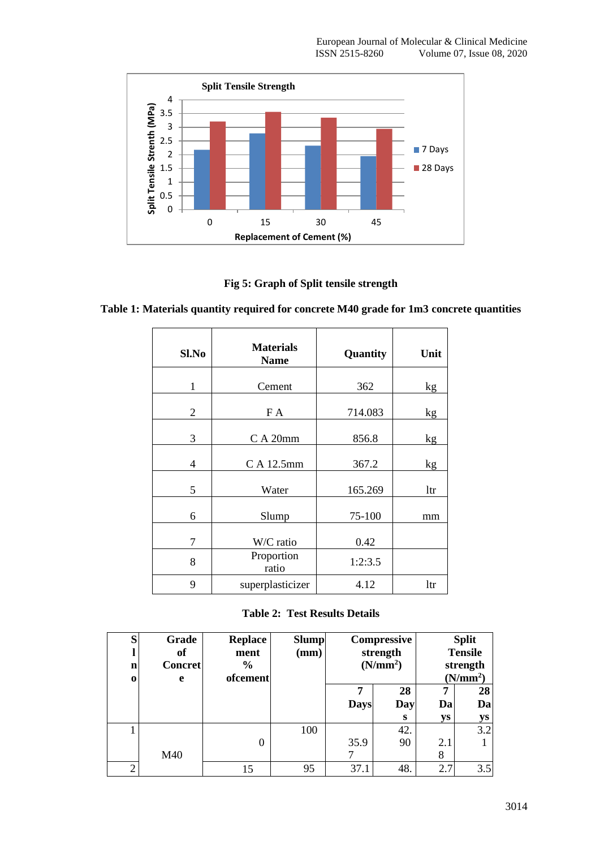

**Fig 5: Graph of Split tensile strength**

| Sl.No          | <b>Materials</b><br><b>Name</b> | Quantity | Unit |
|----------------|---------------------------------|----------|------|
| $\mathbf{1}$   | Cement                          | 362      | kg   |
| $\overline{2}$ | F A                             | 714.083  | kg   |
| 3              | C A 20mm                        | 856.8    | kg   |
| $\overline{4}$ | C A 12.5mm                      | 367.2    | kg   |
| 5              | Water                           | 165.269  | ltr  |
| 6              | Slump                           | 75-100   | mm   |
| 7              | W/C ratio                       | 0.42     |      |
| 8              | Proportion<br>ratio             | 1:2:3.5  |      |
| 9              | superplasticizer                | 4.12     | ltr  |

**Table 2: Test Results Details**

| S<br>$\mathbf n$<br>$\bf{o}$ | Grade<br>of<br><b>Concret</b><br>e | <b>Replace</b><br>ment<br>$\frac{0}{0}$<br>ofcement | <b>Slump</b><br>(mm) | Compressive<br>strength<br>(N/mm <sup>2</sup> ) |           | <b>Split</b><br><b>Tensile</b><br>strength<br>(N/mm <sup>2</sup> ) |          |
|------------------------------|------------------------------------|-----------------------------------------------------|----------------------|-------------------------------------------------|-----------|--------------------------------------------------------------------|----------|
|                              |                                    |                                                     |                      | <b>Days</b>                                     | 28<br>Day | п<br>Da                                                            | 28<br>Da |
|                              |                                    |                                                     |                      |                                                 | S         | <b>ys</b>                                                          | ys       |
|                              |                                    |                                                     | 100                  |                                                 | 42.       |                                                                    | 3.2      |
|                              |                                    | 0                                                   |                      | 35.9                                            | 90        | 2.1                                                                |          |
|                              | M40                                |                                                     |                      |                                                 |           | 8                                                                  |          |
| $\bigcirc$                   |                                    |                                                     | 95                   | 37.1                                            | 48.       | 2.7                                                                | 3.5      |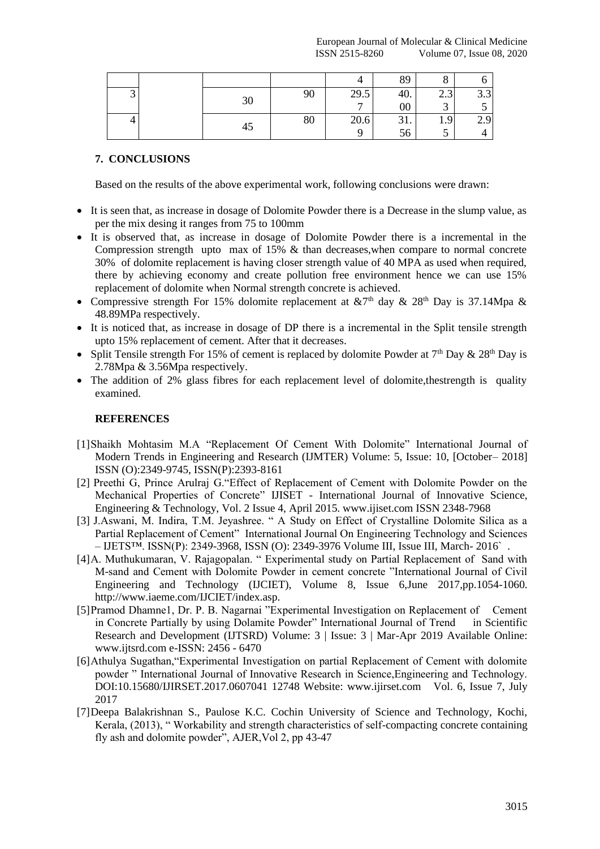|  |    |    |      | 89              |                                           |     |
|--|----|----|------|-----------------|-------------------------------------------|-----|
|  | 30 | 90 | 29.5 | 40.             | $\sim$ $\sim$<br>$\overline{\phantom{a}}$ | 3.3 |
|  |    |    |      | $\overline{00}$ |                                           |     |
|  |    | 80 | 20.6 | 31.             | 1.9                                       | 2.9 |
|  | 45 |    |      | 56              |                                           |     |

# **7. CONCLUSIONS**

Based on the results of the above experimental work, following conclusions were drawn:

- It is seen that, as increase in dosage of Dolomite Powder there is a Decrease in the slump value, as per the mix desing it ranges from 75 to 100mm
- It is observed that, as increase in dosage of Dolomite Powder there is a incremental in the Compression strength upto max of 15% & than decreases,when compare to normal concrete 30% of dolomite replacement is having closer strength value of 40 MPA as used when required, there by achieving economy and create pollution free environment hence we can use 15% replacement of dolomite when Normal strength concrete is achieved.
- Compressive strength For 15% dolomite replacement at  $&7<sup>th</sup>$  day  $& 28<sup>th</sup>$  Day is 37.14Mpa  $&$ 48.89MPa respectively.
- It is noticed that, as increase in dosage of DP there is a incremental in the Split tensile strength upto 15% replacement of cement. After that it decreases.
- Split Tensile strength For 15% of cement is replaced by dolomite Powder at  $7<sup>th</sup>$  Day  $\&$  28<sup>th</sup> Day is 2.78Mpa & 3.56Mpa respectively.
- The addition of 2% glass fibres for each replacement level of dolomite, the strength is quality examined.

# **REFERENCES**

- [1]Shaikh Mohtasim M.A "Replacement Of Cement With Dolomite" International Journal of Modern Trends in Engineering and Research (IJMTER) Volume: 5, Issue: 10, [October– 2018] ISSN (O):2349-9745, ISSN(P):2393-8161
- [2] Preethi G, Prince Arulraj G."Effect of Replacement of Cement with Dolomite Powder on the Mechanical Properties of Concrete" IJISET - International Journal of Innovative Science, Engineering & Technology, Vol. 2 Issue 4, April 2015. www.ijiset.com ISSN 2348-7968
- [3] J.Aswani, M. Indira, T.M. Jeyashree. " A Study on Effect of Crystalline Dolomite Silica as a Partial Replacement of Cement" International Journal On Engineering Technology and Sciences – IJETS™. ISSN(P): 2349-3968, ISSN (O): 2349-3976 Volume III, Issue III, March- 2016` .
- [4]A. Muthukumaran, V. Rajagopalan. " Experimental study on Partial Replacement of Sand with M-sand and Cement with Dolomite Powder in cement concrete "International Journal of Civil Engineering and Technology (IJCIET), Volume 8, Issue 6,June 2017,pp.1054-1060. http://www.iaeme.com/IJCIET/index.asp.
- [5]Pramod Dhamne1, Dr. P. B. Nagarnai "Experimental Investigation on Replacement of Cement in Concrete Partially by using Dolamite Powder" International Journal of Trend in Scientific Research and Development (IJTSRD) Volume: 3 | Issue: 3 | Mar-Apr 2019 Available Online: www.ijtsrd.com e-ISSN: 2456 - 6470
- [6]Athulya Sugathan,"Experimental Investigation on partial Replacement of Cement with dolomite powder " International Journal of Innovative Research in Science,Engineering and Technology. DOI:10.15680/IJIRSET.2017.0607041 12748 Website: www.ijirset.com Vol. 6, Issue 7, July 2017
- [7]Deepa Balakrishnan S., Paulose K.C. Cochin University of Science and Technology, Kochi, Kerala, (2013), " Workability and strength characteristics of self-compacting concrete containing fly ash and dolomite powder", AJER,Vol 2, pp 43-47